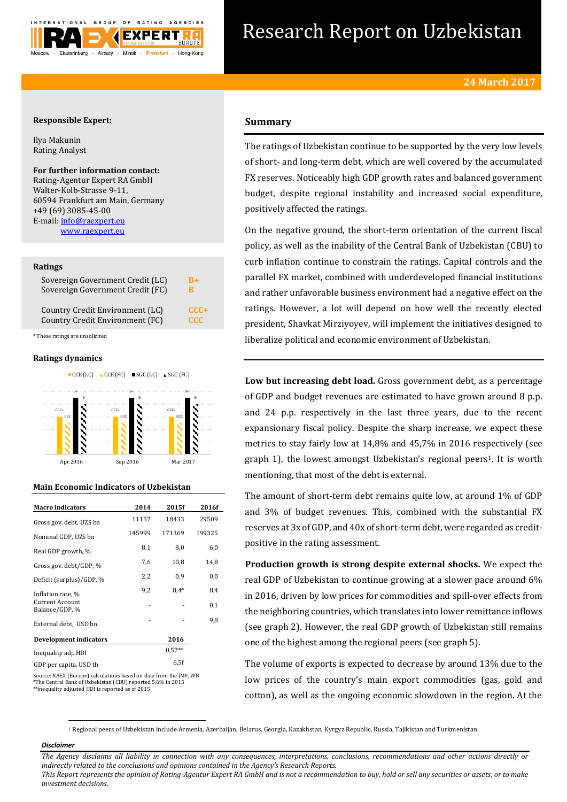

# Research Report on Uzbekistan

### **Responsible Expert:**

Ilya Makunin Rating Analyst

#### **For further information contact:** Rating-Agentur Expert RA GmbH Walter-Kolb-Strasse 9-11, 60594 Frankfurt am Main, Germany +49 (69) 3085-45-00

E-mail[: info@raexpert.eu](mailto:info@raexpert.eu) [www.raexpert.eu](http://raexpert.eu/)

#### **Ratings**

| Sovereign Government Credit (LC) | $R_{+}$    |
|----------------------------------|------------|
| Sovereign Government Credit (FC) | в          |
| Country Credit Environment (LC)  | $CCC +$    |
| Country Credit Environment (FC)  | <b>CCC</b> |

\* These ratings are unsolicited

#### **Ratings dynamics**



#### **Main Economic Indicators of Uzbekistan**

| <b>Macro</b> indicators                  | 2014   | 2015f    | 2016f  |
|------------------------------------------|--------|----------|--------|
| Gross gov. debt. UZS bn                  | 11157  | 18433    | 29509  |
| Nominal GDP, UZS bn                      | 145999 | 171369   | 199325 |
| Real GDP growth, %                       | 8,1    | 8,0      | 6,0    |
| Gross gov. debt/GDP, %                   | 7,6    | 10,8     | 14,8   |
| Deficit (surplus)/GDP, %                 | 2,2    | 0,9      | 0,0    |
| Inflation rate, %                        | 9,2    | $8.4*$   | 8,4    |
| <b>Current Account</b><br>Balance/GDP, % |        |          | 0,1    |
| External debt, USD bn                    |        |          | 9,8    |
| <b>Development indicators</b>            |        | 2016     |        |
| Inequality adj. HDI                      |        | $0.57**$ |        |
| GDP per capita, USD th                   |        | 6.5f     |        |

Source: RAEX (Europe) calculations based on data from the IMF, WB \*The Central Bank of Uzbekistan (CBU) reported 5,6% in 2015  $*$ inequality adjusted HDI is reported as of 2015 $^{\ast}$ 

## **Summary**

The ratings of Uzbekistan continue to be supported by the very low levels of short- and long-term debt, which are well covered by the accumulated FX reserves. Noticeably high GDP growth rates and balanced government budget, despite regional instability and increased social expenditure, positively affected the ratings.

On the negative ground, the short-term orientation of the current fiscal policy, as well as the inability of the Central Bank of Uzbekistan (CBU) to curb inflation continue to constrain the ratings. Capital controls and the parallel FX market, combined with underdeveloped financial institutions and rather unfavorable business environment had a negative effect on the ratings. However, a lot will depend on how well the recently elected president, Shavkat Mirziyoyev, will implement the initiatives designed to liberalize political and economic environment of Uzbekistan.

**Low but increasing debt load.** Gross government debt, as a percentage of GDP and budget revenues are estimated to have grown around 8 p.p. and 24 p.p. respectively in the last three years, due to the recent expansionary fiscal policy. Despite the sharp increase, we expect these metrics to stay fairly low at 14,8% and 45,7% in 2016 respectively (see graph 1), the lowest amongst Uzbekistan's regional peers<sup>1</sup>. It is worth mentioning, that most of the debt is external.

The amount of short-term debt remains quite low, at around 1% of GDP and 3% of budget revenues. This, combined with the substantial FX reserves at 3x of GDP, and 40x of short-term debt, were regarded as creditpositive in the rating assessment.

**Production growth is strong despite external shocks.** We expect the real GDP of Uzbekistan to continue growing at a slower pace around 6% in 2016, driven by low prices for commodities and spill-over effects from the neighboring countries, which translates into lower remittance inflows (see graph 2). However, the real GDP growth of Uzbekistan still remains one of the highest among the regional peers (see graph 5).

The volume of exports is expected to decrease by around 13% due to the low prices of the country's main export commodities (gas, gold and cotton), as well as the ongoing economic slowdown in the region. At the

<sup>1</sup> Regional peers of Uzbekistan include Armenia, Azerbaijan, Belarus, Georgia, Kazakhstan, Kyrgyz Republic, Russia, Tajikistan and Turkmenistan.

#### *Disclaimer*

**.** 

*The Agency disclaims all liability in connection with any consequences, interpretations, conclusions, recommendations and other actions directly or indirectly related to the conclusions and opinions contained in the Agency's Research Reports. This Report represents the opinion of Rating-Agentur Expert RA GmbH and is not a recommendation to buy, hold or sell any securities or assets, or to make* 

*investment decisions.*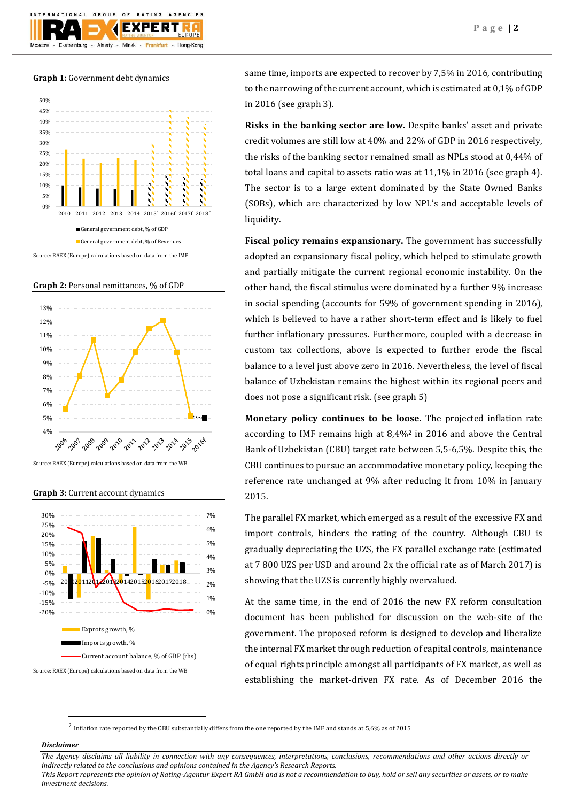**Graph 1:** Government debt dynamics



**Graph 2:** Personal remittances, % of GDP



Source: RAEX (Europe) calculations based on data from the WB

**Graph 3:** Current account dynamics



Source: RAEX (Europe) calculations based on data from the WB

same time, imports are expected to recover by 7,5% in 2016, contributing to the narrowing of the current account, which is estimated at 0,1% of GDP in 2016 (see graph 3).

**Risks in the banking sector are low.** Despite banks' asset and private credit volumes are still low at 40% and 22% of GDP in 2016 respectively, the risks of the banking sector remained small as NPLs stood at 0,44% of total loans and capital to assets ratio was at 11,1% in 2016 (see graph 4). The sector is to a large extent dominated by the State Owned Banks (SOBs), which are characterized by low NPL's and acceptable levels of liquidity.

**Fiscal policy remains expansionary.** The government has successfully adopted an expansionary fiscal policy, which helped to stimulate growth and partially mitigate the current regional economic instability. On the other hand, the fiscal stimulus were dominated by a further 9% increase in social spending (accounts for 59% of government spending in 2016), which is believed to have a rather short-term effect and is likely to fuel further inflationary pressures. Furthermore, coupled with a decrease in custom tax collections, above is expected to further erode the fiscal balance to a level just above zero in 2016. Nevertheless, the level of fiscal balance of Uzbekistan remains the highest within its regional peers and does not pose a significant risk. (see graph 5)

**Monetary policy continues to be loose.** The projected inflation rate according to IMF remains high at 8,4%<sup>2</sup> in 2016 and above the Central Bank of Uzbekistan (CBU) target rate between 5,5-6,5%. Despite this, the CBU continues to pursue an accommodative monetary policy, keeping the reference rate unchanged at 9% after reducing it from 10% in January 2015.

The parallel FX market, which emerged as a result of the excessive FX and import controls, hinders the rating of the country. Although CBU is gradually depreciating the UZS, the FX parallel exchange rate (estimated at 7 800 UZS per USD and around 2x the official rate as of March 2017) is showing that the UZS is currently highly overvalued.

At the same time, in the end of 2016 the new FX reform consultation document has been published for discussion on the web-site of the government. The proposed reform is designed to develop and liberalize the internal FX market through reduction of capital controls, maintenance of equal rights principle amongst all participants of FX market, as well as establishing the market-driven FX rate. As of December 2016 the

<sup>2</sup> Inflation rate reported by the CBU substantially differs from the one reported by the IMF and stands at 5,6% as of 2015

#### *Disclaimer*

**.** 

*The Agency disclaims all liability in connection with any consequences, interpretations, conclusions, recommendations and other actions directly or indirectly related to the conclusions and opinions contained in the Agency's Research Reports.*

*This Report represents the opinion of Rating-Agentur Expert RA GmbH and is not a recommendation to buy, hold or sell any securities or assets, or to make investment decisions.*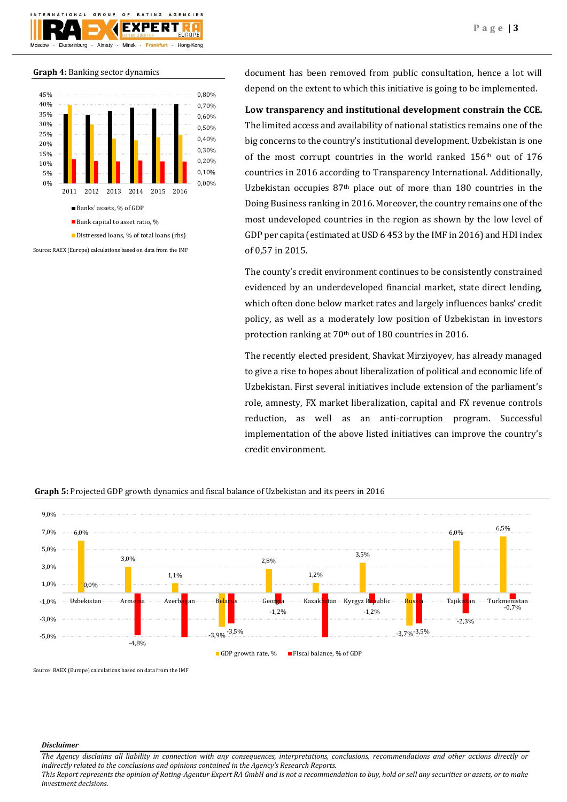

#### **Graph 4:** Banking sector dynamics



Source: RAEX (Europe) calculations based on data from the IMF

document has been removed from public consultation, hence a lot will depend on the extent to which this initiative is going to be implemented.

## **Low transparency and institutional development constrain the CCE.**

The limited access and availability of national statistics remains one of the big concerns to the country's institutional development. Uzbekistan is one of the most corrupt countries in the world ranked  $156<sup>th</sup>$  out of  $176$ countries in 2016 according to Transparency International. Additionally, Uzbekistan occupies  $87<sup>th</sup>$  place out of more than 180 countries in the Doing Business ranking in 2016. Moreover, the country remains one of the most undeveloped countries in the region as shown by the low level of GDP per capita (estimated at USD 6 453 by the IMF in 2016) and HDI index of 0,57 in 2015.

The county's credit environment continues to be consistently constrained evidenced by an underdeveloped financial market, state direct lending, which often done below market rates and largely influences banks' credit policy, as well as a moderately low position of Uzbekistan in investors protection ranking at 70<sup>th</sup> out of 180 countries in 2016.

The recently elected president, Shavkat Mirziyoyev, has already managed to give a rise to hopes about liberalization of political and economic life of Uzbekistan. First several initiatives include extension of the parliament's role, amnesty, FX market liberalization, capital and FX revenue controls reduction, as well as an anti-corruption program. Successful implementation of the above listed initiatives can improve the country's credit environment.



**Graph 5:** Projected GDP growth dynamics and fiscal balance of Uzbekistan and its peers in 2016

Source: RAEX (Europe) calculations based on data from the IMF

#### *Disclaimer*

*The Agency disclaims all liability in connection with any consequences, interpretations, conclusions, recommendations and other actions directly or indirectly related to the conclusions and opinions contained in the Agency's Research Reports. This Report represents the opinion of Rating-Agentur Expert RA GmbH and is not a recommendation to buy, hold or sell any securities or assets, or to make* 

*investment decisions.*